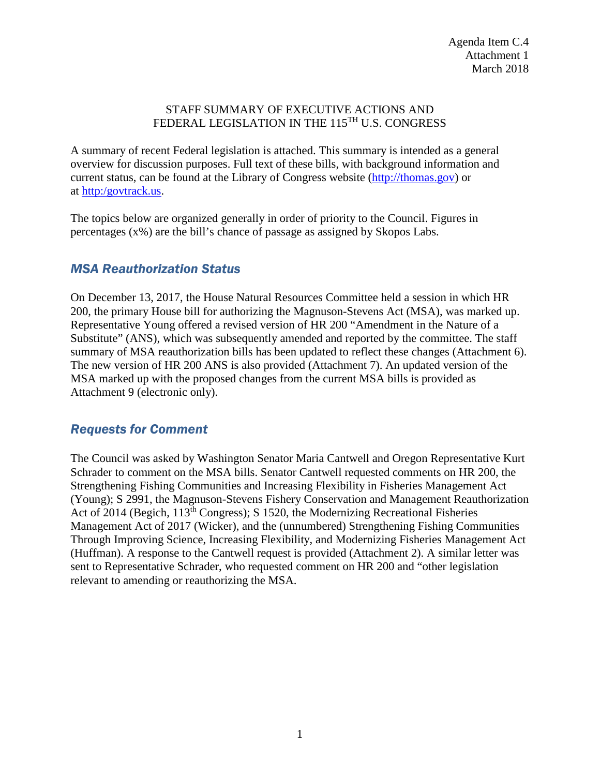#### STAFF SUMMARY OF EXECUTIVE ACTIONS AND FEDERAL LEGISLATION IN THE 115<sup>TH</sup> U.S. CONGRESS

A summary of recent Federal legislation is attached. This summary is intended as a general overview for discussion purposes. Full text of these bills, with background information and current status, can be found at the Library of Congress website [\(http://thomas.gov\)](http://thomas.gov/) or at [http:/govtrack.us.](http://govtrack.us/)

The topics below are organized generally in order of priority to the Council. Figures in percentages (x%) are the bill's chance of passage as assigned by Skopos Labs.

## *MSA Reauthorization Status*

On December 13, 2017, the House Natural Resources Committee held a session in which HR 200, the primary House bill for authorizing the Magnuson-Stevens Act (MSA), was marked up. Representative Young offered a revised version of HR 200 "Amendment in the Nature of a Substitute" (ANS), which was subsequently amended and reported by the committee. The staff summary of MSA reauthorization bills has been updated to reflect these changes (Attachment 6). The new version of HR 200 ANS is also provided (Attachment 7). An updated version of the MSA marked up with the proposed changes from the current MSA bills is provided as Attachment 9 (electronic only).

## *Requests for Comment*

The Council was asked by Washington Senator Maria Cantwell and Oregon Representative Kurt Schrader to comment on the MSA bills. Senator Cantwell requested comments on HR 200, the Strengthening Fishing Communities and Increasing Flexibility in Fisheries Management Act (Young); S 2991, the Magnuson-Stevens Fishery Conservation and Management Reauthorization Act of 2014 (Begich, 113<sup>th</sup> Congress); S 1520, the Modernizing Recreational Fisheries Management Act of 2017 (Wicker), and the (unnumbered) Strengthening Fishing Communities Through Improving Science, Increasing Flexibility, and Modernizing Fisheries Management Act (Huffman). A response to the Cantwell request is provided (Attachment 2). A similar letter was sent to Representative Schrader, who requested comment on HR 200 and "other legislation relevant to amending or reauthorizing the MSA.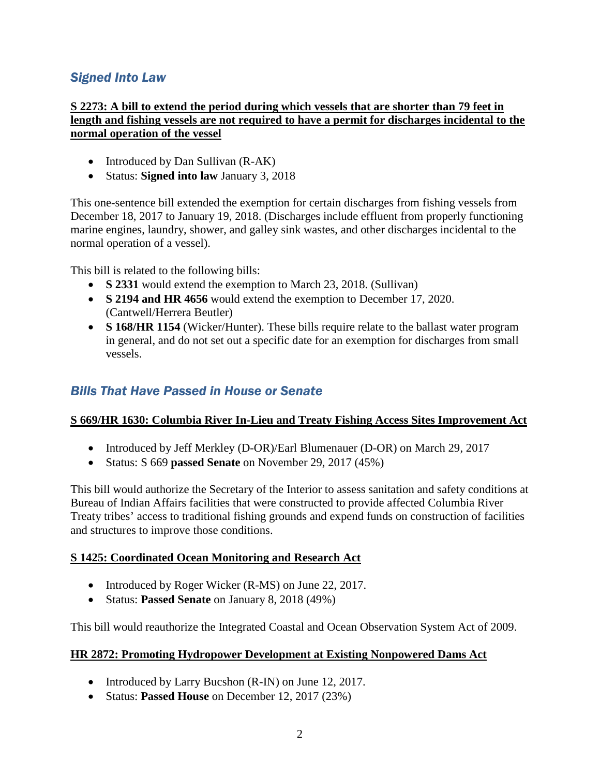# *Signed Into Law*

#### **S 2273: A bill to extend the period during which vessels that are shorter than 79 feet in length and fishing vessels are not required to have a permit for discharges incidental to the normal operation of the vessel**

- Introduced by Dan Sullivan (R-AK)
- Status: **Signed into law** January 3, 2018

This one-sentence bill extended the exemption for certain discharges from fishing vessels from December 18, 2017 to January 19, 2018. (Discharges include effluent from properly functioning marine engines, laundry, shower, and galley sink wastes, and other discharges incidental to the normal operation of a vessel).

This bill is related to the following bills:

- **S 2331** would extend the exemption to March 23, 2018. (Sullivan)
- **S 2194 and HR 4656** would extend the exemption to December 17, 2020. (Cantwell/Herrera Beutler)
- **S 168/HR 1154** (Wicker/Hunter). These bills require relate to the ballast water program in general, and do not set out a specific date for an exemption for discharges from small vessels.

## *Bills That Have Passed in House or Senate*

#### **S 669/HR 1630: Columbia River In-Lieu and Treaty Fishing Access Sites Improvement Act**

- Introduced by Jeff Merkley (D-OR)/Earl Blumenauer (D-OR) on March 29, 2017
- Status: S 669 **passed Senate** on November 29, 2017 (45%)

This bill would authorize the Secretary of the Interior to assess sanitation and safety conditions at Bureau of Indian Affairs facilities that were constructed to provide affected Columbia River Treaty tribes' access to traditional fishing grounds and expend funds on construction of facilities and structures to improve those conditions.

#### **S 1425: Coordinated Ocean Monitoring and Research Act**

- Introduced by Roger Wicker (R-MS) on June 22, 2017.
- Status: **Passed Senate** on January 8, 2018 (49%)

This bill would reauthorize the Integrated Coastal and Ocean Observation System Act of 2009.

#### **HR 2872: Promoting Hydropower Development at Existing Nonpowered Dams Act**

- Introduced by Larry Bucshon (R-IN) on June 12, 2017.
- Status: **Passed House** on December 12, 2017 (23%)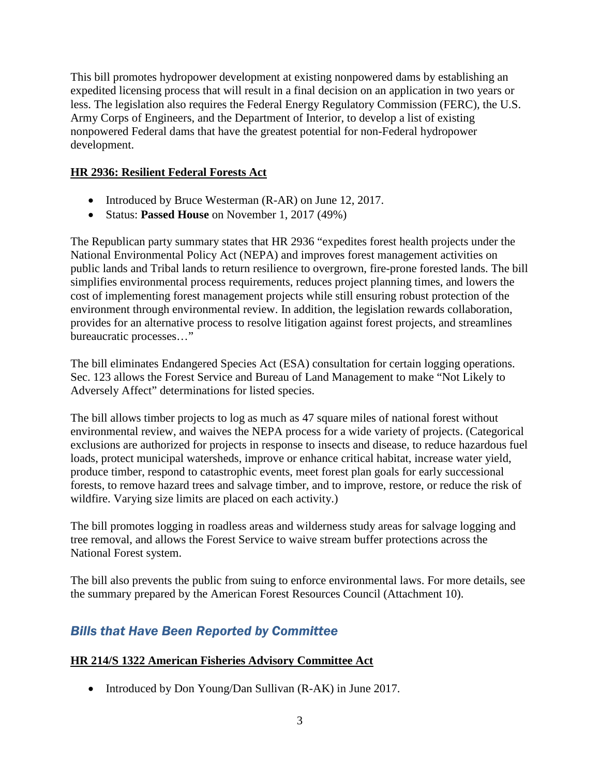This bill promotes hydropower development at existing nonpowered dams by establishing an expedited licensing process that will result in a final decision on an application in two years or less. The legislation also requires the Federal Energy Regulatory Commission (FERC), the U.S. Army Corps of Engineers, and the Department of Interior, to develop a list of existing nonpowered Federal dams that have the greatest potential for non-Federal hydropower development.

#### **HR 2936: Resilient Federal Forests Act**

- Introduced by Bruce Westerman (R-AR) on June 12, 2017.
- Status: **Passed House** on November 1, 2017 (49%)

The Republican party summary states that HR 2936 "expedites forest health projects under the National Environmental Policy Act (NEPA) and improves forest management activities on public lands and Tribal lands to return resilience to overgrown, fire-prone forested lands. The bill simplifies environmental process requirements, reduces project planning times, and lowers the cost of implementing forest management projects while still ensuring robust protection of the environment through environmental review. In addition, the legislation rewards collaboration, provides for an alternative process to resolve litigation against forest projects, and streamlines bureaucratic processes…"

The bill eliminates Endangered Species Act (ESA) consultation for certain logging operations. Sec. 123 allows the Forest Service and Bureau of Land Management to make "Not Likely to Adversely Affect" determinations for listed species.

The bill allows timber projects to log as much as 47 square miles of national forest without environmental review, and waives the NEPA process for a wide variety of projects. (Categorical exclusions are authorized for projects in response to insects and disease, to reduce hazardous fuel loads, protect municipal watersheds, improve or enhance critical habitat, increase water yield, produce timber, respond to catastrophic events, meet forest plan goals for early successional forests, to remove hazard trees and salvage timber, and to improve, restore, or reduce the risk of wildfire. Varying size limits are placed on each activity.)

The bill promotes logging in roadless areas and wilderness study areas for salvage logging and tree removal, and allows the Forest Service to waive stream buffer protections across the National Forest system.

The bill also prevents the public from suing to enforce environmental laws. For more details, see the summary prepared by the American Forest Resources Council (Attachment 10).

## *Bills that Have Been Reported by Committee*

#### **HR 214/S 1322 American Fisheries Advisory Committee Act**

• Introduced by Don Young/Dan Sullivan (R-AK) in June 2017.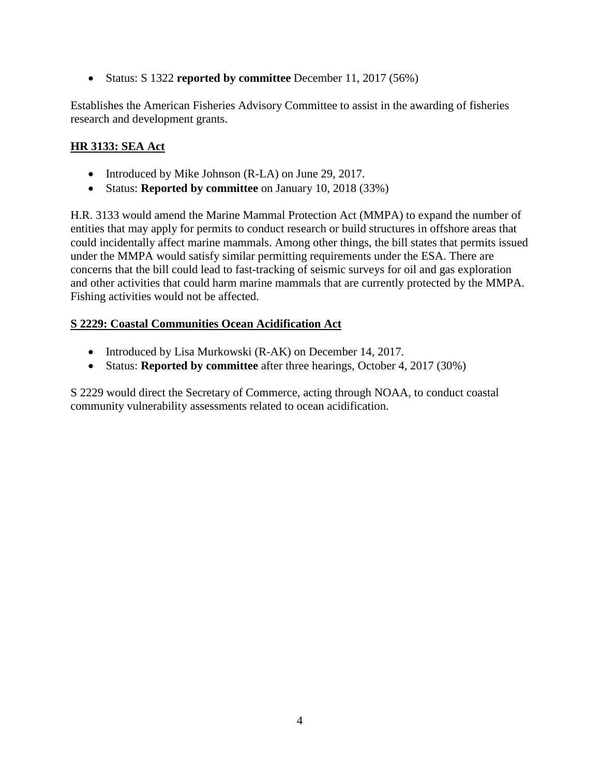• Status: S 1322 **reported by committee** December 11, 2017 (56%)

Establishes the American Fisheries Advisory Committee to assist in the awarding of fisheries research and development grants.

## **HR 3133: SEA Act**

- Introduced by Mike Johnson (R-LA) on June 29, 2017.
- Status: **Reported by committee** on January 10, 2018 (33%)

H.R. 3133 would amend the Marine Mammal Protection Act (MMPA) to expand the number of entities that may apply for permits to conduct research or build structures in offshore areas that could incidentally affect marine mammals. Among other things, the bill states that permits issued under the MMPA would satisfy similar permitting requirements under the ESA. There are concerns that the bill could lead to fast-tracking of seismic surveys for oil and gas exploration and other activities that could harm marine mammals that are currently protected by the MMPA. Fishing activities would not be affected.

## **S 2229: Coastal Communities Ocean Acidification Act**

- Introduced by Lisa Murkowski (R-AK) on December 14, 2017.
- Status: **Reported by committee** after three hearings, October 4, 2017 (30%)

S 2229 would direct the Secretary of Commerce, acting through NOAA, to conduct coastal community vulnerability assessments related to ocean acidification.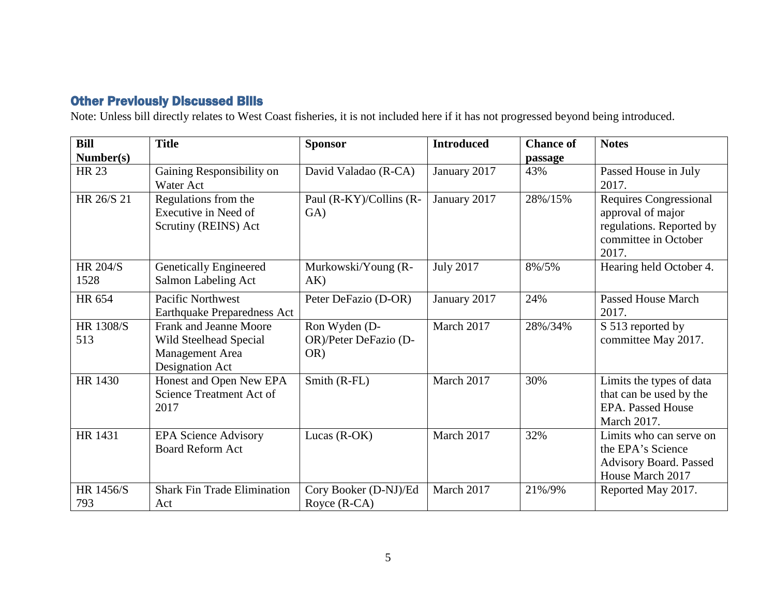# Other Previously Discussed Bills

Note: Unless bill directly relates to West Coast fisheries, it is not included here if it has not progressed beyond being introduced.

| Bill                    | <b>Title</b>                                                                                  | <b>Sponsor</b>                                | <b>Introduced</b> | <b>Chance of</b> | <b>Notes</b>                                                                                                    |
|-------------------------|-----------------------------------------------------------------------------------------------|-----------------------------------------------|-------------------|------------------|-----------------------------------------------------------------------------------------------------------------|
| Number(s)               |                                                                                               |                                               |                   | passage          |                                                                                                                 |
| <b>HR 23</b>            | Gaining Responsibility on<br><b>Water Act</b>                                                 | David Valadao (R-CA)                          | January 2017      | 43%              | Passed House in July<br>2017.                                                                                   |
| HR 26/S 21              | Regulations from the<br>Executive in Need of<br>Scrutiny (REINS) Act                          | Paul (R-KY)/Collins (R-<br>GA)                | January 2017      | 28%/15%          | <b>Requires Congressional</b><br>approval of major<br>regulations. Reported by<br>committee in October<br>2017. |
| <b>HR 204/S</b><br>1528 | <b>Genetically Engineered</b><br>Salmon Labeling Act                                          | Murkowski/Young (R-<br>AK)                    | <b>July 2017</b>  | 8%/5%            | Hearing held October 4.                                                                                         |
| HR 654                  | <b>Pacific Northwest</b><br><b>Earthquake Preparedness Act</b>                                | Peter DeFazio (D-OR)                          | January 2017      | 24%              | Passed House March<br>2017.                                                                                     |
| HR 1308/S<br>513        | <b>Frank and Jeanne Moore</b><br>Wild Steelhead Special<br>Management Area<br>Designation Act | Ron Wyden (D-<br>OR)/Peter DeFazio (D-<br>OR) | March 2017        | 28%/34%          | S 513 reported by<br>committee May 2017.                                                                        |
| <b>HR 1430</b>          | Honest and Open New EPA<br>Science Treatment Act of<br>2017                                   | Smith (R-FL)                                  | March 2017        | 30%              | Limits the types of data<br>that can be used by the<br><b>EPA.</b> Passed House<br>March 2017.                  |
| HR 1431                 | <b>EPA Science Advisory</b><br><b>Board Reform Act</b>                                        | Lucas $(R-OK)$                                | March 2017        | 32%              | Limits who can serve on<br>the EPA's Science<br>Advisory Board. Passed<br>House March 2017                      |
| HR 1456/S<br>793        | <b>Shark Fin Trade Elimination</b><br>Act                                                     | Cory Booker (D-NJ)/Ed<br>Royce (R-CA)         | March 2017        | 21%/9%           | Reported May 2017.                                                                                              |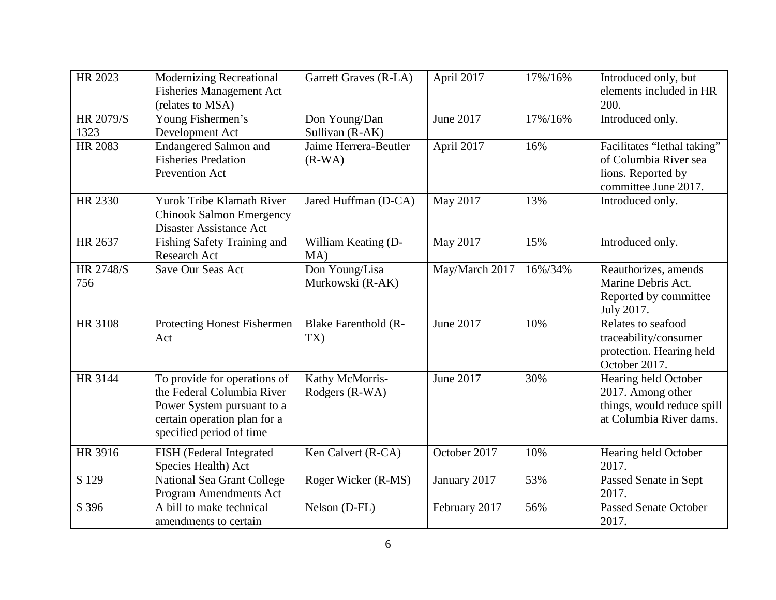| HR 2023                 | <b>Modernizing Recreational</b><br><b>Fisheries Management Act</b><br>(relates to MSA)                                                               | Garrett Graves (R-LA)              | April 2017     | 17%/16% | Introduced only, but<br>elements included in HR<br>200.                                            |
|-------------------------|------------------------------------------------------------------------------------------------------------------------------------------------------|------------------------------------|----------------|---------|----------------------------------------------------------------------------------------------------|
| HR 2079/S<br>1323       | Young Fishermen's<br>Development Act                                                                                                                 | Don Young/Dan<br>Sullivan (R-AK)   | June 2017      | 17%/16% | Introduced only.                                                                                   |
| HR 2083                 | <b>Endangered Salmon and</b><br><b>Fisheries Predation</b><br>Prevention Act                                                                         | Jaime Herrera-Beutler<br>$(R-WA)$  | April 2017     | 16%     | Facilitates "lethal taking"<br>of Columbia River sea<br>lions. Reported by<br>committee June 2017. |
| HR 2330                 | Yurok Tribe Klamath River<br><b>Chinook Salmon Emergency</b><br><b>Disaster Assistance Act</b>                                                       | Jared Huffman (D-CA)               | May 2017       | 13%     | Introduced only.                                                                                   |
| HR 2637                 | Fishing Safety Training and<br>Research Act                                                                                                          | William Keating (D-<br>MA)         | May 2017       | 15%     | Introduced only.                                                                                   |
| <b>HR 2748/S</b><br>756 | Save Our Seas Act                                                                                                                                    | Don Young/Lisa<br>Murkowski (R-AK) | May/March 2017 | 16%/34% | Reauthorizes, amends<br>Marine Debris Act.<br>Reported by committee<br>July 2017.                  |
| <b>HR 3108</b>          | Protecting Honest Fishermen<br>Act                                                                                                                   | <b>Blake Farenthold (R-</b><br>TX) | June 2017      | 10%     | Relates to seafood<br>traceability/consumer<br>protection. Hearing held<br>October 2017.           |
| HR 3144                 | To provide for operations of<br>the Federal Columbia River<br>Power System pursuant to a<br>certain operation plan for a<br>specified period of time | Kathy McMorris-<br>Rodgers (R-WA)  | June 2017      | 30%     | Hearing held October<br>2017. Among other<br>things, would reduce spill<br>at Columbia River dams. |
| HR 3916                 | FISH (Federal Integrated<br>Species Health) Act                                                                                                      | Ken Calvert (R-CA)                 | October 2017   | 10%     | Hearing held October<br>2017.                                                                      |
| S 129                   | National Sea Grant College<br>Program Amendments Act                                                                                                 | Roger Wicker (R-MS)                | January 2017   | 53%     | Passed Senate in Sept<br>2017.                                                                     |
| S 396                   | $\overline{A}$ bill to make technical<br>amendments to certain                                                                                       | Nelson (D-FL)                      | February 2017  | 56%     | <b>Passed Senate October</b><br>2017.                                                              |